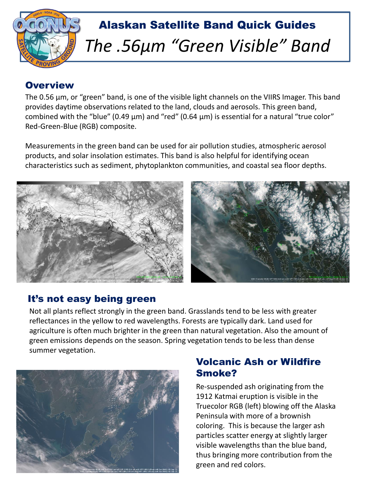

#### **Overview**

The 0.56 μm, or "green" band, is one of the visible light channels on the VIIRS Imager. This band provides daytime observations related to the land, clouds and aerosols. This green band, combined with the "blue" (0.49 μm) and "red" (0.64 μm) is essential for a natural "true color" Red-Green-Blue (RGB) composite.

Measurements in the green band can be used for air pollution studies, atmospheric aerosol products, and solar insolation estimates. This band is also helpful for identifying ocean characteristics such as sediment, phytoplankton communities, and coastal sea floor depths.



#### It's not easy being green

Not all plants reflect strongly in the green band. Grasslands tend to be less with greater reflectances in the yellow to red wavelengths. Forests are typically dark. Land used for agriculture is often much brighter in the green than natural vegetation. Also the amount of green emissions depends on the season. Spring vegetation tends to be less than dense summer vegetation.



### Volcanic Ash or Wildfire Smoke?

Re-suspended ash originating from the 1912 Katmai eruption is visible in the Truecolor RGB (left) blowing off the Alaska Peninsula with more of a brownish coloring. This is because the larger ash particles scatter energy at slightly larger visible wavelengths than the blue band, thus bringing more contribution from the green and red colors.